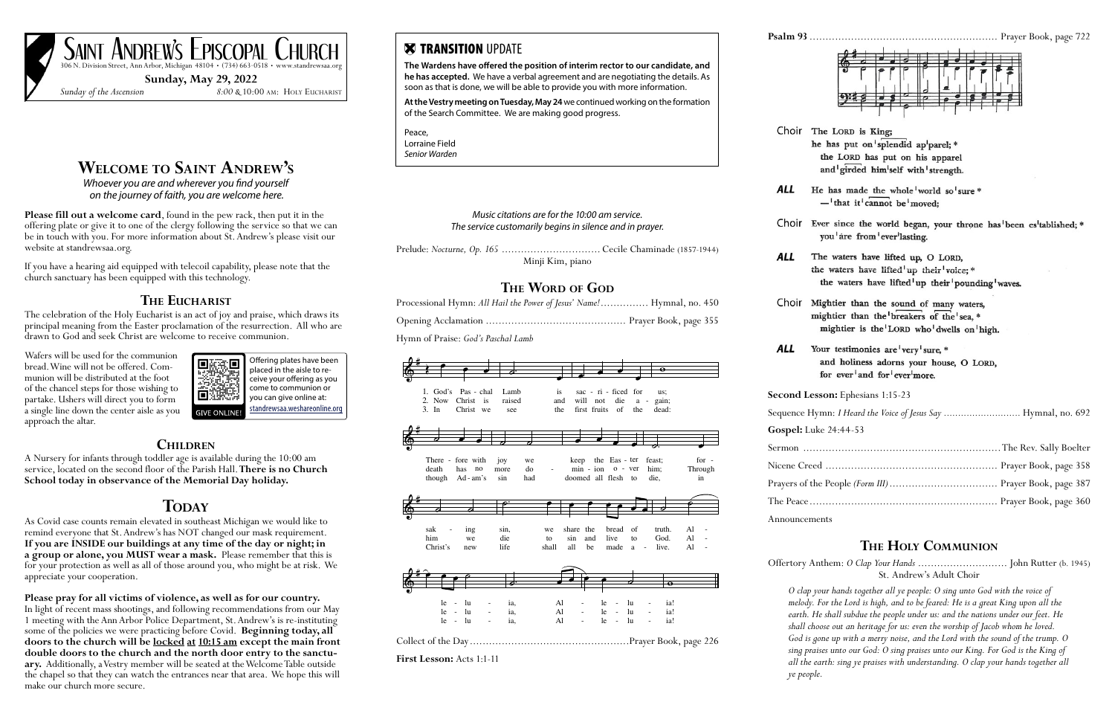# **Welcome to Saint Andrew's**

*Whoever you are and wherever you find yourself on the journey of faith, you are welcome here.* 

**Please fill out a welcome card**, found in the pew rack, then put it in the offering plate or give it to one of the clergy following the service so that we can be in touch with you. For more information about St. Andrew's please visit our website at standrewsaa.org.

If you have a hearing aid equipped with telecoil capability, please note that the church sanctuary has been equipped with this technology.

## **The Eucharist**

The celebration of the Holy Eucharist is an act of joy and praise, which draws its principal meaning from the Easter proclamation of the resurrection. All who are drawn to God and seek Christ are welcome to receive communion.

Wafers will be used for the communion bread. Wine will not be offered. Communion will be distributed at the foot of the chancel steps for those wishing to partake. Ushers will direct you to form a single line down the center aisle as you approach the altar.

## **Children**

A Nursery for infants through toddler age is available during the 10:00 am service, located on the second floor of the Parish Hall. **There is no Church School today in observance of the Memorial Day holiday.**

# **TODAY**

SAINT ANDREW'S EPISCOPAL CHURCH 306 N. Division Street, Ann Arbor, Michigan 48104 • (734) 663-0518 • www.standrewsaa.org

As Covid case counts remain elevated in southeast Michigan we would like to remind everyone that St. Andrew's has NOT changed our mask requirement. **If you are INSIDE our buildings at any time of the day or night; in a group or alone, you MUST wear a mask.** Please remember that this is for your protection as well as all of those around you, who might be at risk. We appreciate your cooperation.

**Please pray for all victims of violence, as well as for our country.**

In light of recent mass shootings, and following recommendations from our May 1 meeting with the Ann Arbor Police Department, St. Andrew's is re-instituting some of the policies we were practicing before Covid. **Beginning today, all doors to the church will be locked at 10:15 am except the main front double doors to the church and the north door entry to the sanctuary.** Additionally, a Vestry member will be seated at the Welcome Table outside the chapel so that they can watch the entrances near that area. We hope this will make our church more secure.

**Sunday, May 29, 2022**

*Sunday of the Ascension 8:00 &* 10:00 am: Holy Eucharist



| <b>X TRANSITION UPDATE</b><br>The Wardens have offered the position of interim rector to our candidate, and<br>he has accepted. We have a verbal agreement and are negotiating the details. As<br>soon as that is done, we will be able to provide you with more information.<br>At the Vestry meeting on Tuesday, May 24 we continued working on the formation<br>of the Search Committee. We are making good progress.<br>Peace,<br>Lorraine Field | Choir The LORD is King;<br>he has put on splendid ap parel; *                                                                                                                                                                                                                                                                                                                                                                                                                                                                                                                                             |
|------------------------------------------------------------------------------------------------------------------------------------------------------------------------------------------------------------------------------------------------------------------------------------------------------------------------------------------------------------------------------------------------------------------------------------------------------|-----------------------------------------------------------------------------------------------------------------------------------------------------------------------------------------------------------------------------------------------------------------------------------------------------------------------------------------------------------------------------------------------------------------------------------------------------------------------------------------------------------------------------------------------------------------------------------------------------------|
| Senior Warden                                                                                                                                                                                                                                                                                                                                                                                                                                        | the LORD has put on his apparel<br>and girded him self with strength.                                                                                                                                                                                                                                                                                                                                                                                                                                                                                                                                     |
|                                                                                                                                                                                                                                                                                                                                                                                                                                                      | ALL<br>He has made the whole world so sure *<br>$-$ that it cannot be moved:                                                                                                                                                                                                                                                                                                                                                                                                                                                                                                                              |
| Music citations are for the 10:00 am service.<br>The service customarily begins in silence and in prayer.                                                                                                                                                                                                                                                                                                                                            | Choir Ever since the world began, your throne has been es tablished; *<br>you are from ever lasting.                                                                                                                                                                                                                                                                                                                                                                                                                                                                                                      |
| Minji Kim, piano<br>THE WORD OF GOD                                                                                                                                                                                                                                                                                                                                                                                                                  | ALL<br>The waters have lifted up, O LORD,<br>the waters have lifted up their voice; *<br>the waters have lifted up their pounding waves.                                                                                                                                                                                                                                                                                                                                                                                                                                                                  |
| Processional Hymn: All Hail the Power of Jesus' Name! Hymnal, no. 450                                                                                                                                                                                                                                                                                                                                                                                | Choir Mightier than the sound of many waters,                                                                                                                                                                                                                                                                                                                                                                                                                                                                                                                                                             |
|                                                                                                                                                                                                                                                                                                                                                                                                                                                      | mightier than the breakers of the sea, *<br>mightier is the LORD who'dwells on high.                                                                                                                                                                                                                                                                                                                                                                                                                                                                                                                      |
| Hymn of Praise: God's Paschal Lamb                                                                                                                                                                                                                                                                                                                                                                                                                   | <b>ALL</b><br>Your testimonies are very sure, *<br>and holiness adorns your house, O LORD,<br>for ever <sup>1</sup> and for <sup>1</sup> ever <sup>1</sup> more.                                                                                                                                                                                                                                                                                                                                                                                                                                          |
| 1. God's Pas - chal<br>sac - ri - ficed for<br>Lamb<br>us;<br>2. Now<br>Christ is<br>raised<br>gain;<br>and<br>not                                                                                                                                                                                                                                                                                                                                   | Second Lesson: Ephesians 1:15-23                                                                                                                                                                                                                                                                                                                                                                                                                                                                                                                                                                          |
| 3. In<br>Christ we<br>first fruits of<br>the<br>the<br>dead:<br>see                                                                                                                                                                                                                                                                                                                                                                                  | Sequence Hymn: I Heard the Voice of Jesus Say  Hymnal, no. 692                                                                                                                                                                                                                                                                                                                                                                                                                                                                                                                                            |
|                                                                                                                                                                                                                                                                                                                                                                                                                                                      | Gospel: Luke 24:44-53                                                                                                                                                                                                                                                                                                                                                                                                                                                                                                                                                                                     |
| $for -$<br>There - fore with<br>keep the Eas - ter feast;<br>we<br>10 <sub>y</sub>                                                                                                                                                                                                                                                                                                                                                                   |                                                                                                                                                                                                                                                                                                                                                                                                                                                                                                                                                                                                           |
| do<br>$min - ion$ $o - ver$<br>Through<br>death<br>has no<br>more<br>him;<br>doomed all flesh to<br>though Ad-am's<br>sin<br>had<br>die,<br>in                                                                                                                                                                                                                                                                                                       |                                                                                                                                                                                                                                                                                                                                                                                                                                                                                                                                                                                                           |
|                                                                                                                                                                                                                                                                                                                                                                                                                                                      |                                                                                                                                                                                                                                                                                                                                                                                                                                                                                                                                                                                                           |
|                                                                                                                                                                                                                                                                                                                                                                                                                                                      | Announcements                                                                                                                                                                                                                                                                                                                                                                                                                                                                                                                                                                                             |
| sak<br>sin,<br>share the<br>bread of<br>truth.<br>Al<br>ing<br>we<br>him<br>die<br>live<br>to<br>God.<br>Al<br>sin and<br>we<br>to<br>Al<br>Christ's<br>life<br>made a<br>live.<br>new<br>shall<br>all<br>be                                                                                                                                                                                                                                         | <b>THE HOLY COMMUNION</b>                                                                                                                                                                                                                                                                                                                                                                                                                                                                                                                                                                                 |
|                                                                                                                                                                                                                                                                                                                                                                                                                                                      | St. Andrew's Adult Choir                                                                                                                                                                                                                                                                                                                                                                                                                                                                                                                                                                                  |
| $\overline{\boldsymbol{\phi}}$<br>Al<br>ia!<br>-lu<br>ia,<br>$\mathbf{Al}$<br>le.<br>ia,<br>lu<br>lu<br>ia!<br>le<br>$\sim$ $-$<br>AI<br>le<br>lu<br>ia.<br>lu<br>le<br>ia!<br>$\sim$<br>$\sim$ $-$<br>First Lesson: Acts 1:1-11                                                                                                                                                                                                                     | O clap your hands together all ye people: O sing unto God with the voice of<br>melody. For the Lord is high, and to be feared: He is a great King upon all the<br>earth. He shall subdue the people under us: and the nations under our feet. He<br>shall choose out an heritage for us: even the worship of Jacob whom he loved.<br>God is gone up with a merry noise, and the Lord with the sound of the trump. O<br>sing praises unto our God: O sing praises unto our King. For God is the King of<br>all the earth: sing ye praises with understanding. O clap your hands together all<br>ye people. |